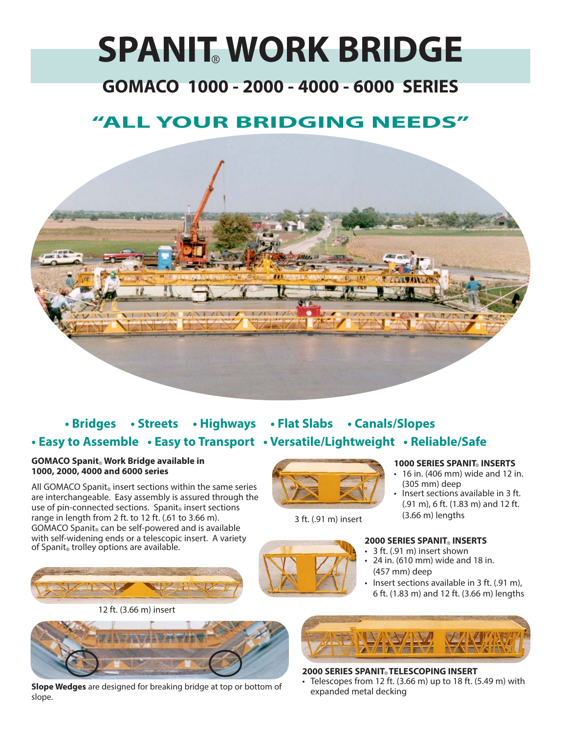# **SPANIT® WORK BRIDGE**

# **GOMACO 1000 - 2000 - 4000 - 6000 SERIES**

# **"ALL YOUR BRIDGING NEEDS"**



## **• Bridges • Streets • Highways • Flat Slabs • Canals/Slopes • Easy to Assemble • Easy to Transport • Versatile/Lightweight • Reliable/Safe**

#### **GOMACO Spanit® Work Bridge available in 1000, 2000, 4000 and 6000 series**

All GOMACO Spanit**®** insert sections within the same series are interchangeable. Easy assembly is assured through the use of pin-connected sections. Spanit<sub>®</sub> insert sections range in length from 2 ft. to 12 ft. (.61 to 3.66 m). GOMACO Spanit**®** can be self-powered and is available with self-widening ends or a telescopic insert. A variety of Spanit**®** trolley options are available.







expanded metal decking **Slope Wedges** are designed for breaking bridge at top or bottom of slope.



3 ft. (.91 m) insert



#### **1000 SERIES SPANIT® INSERTS**

- 16 in. (406 mm) wide and 12 in. (305 mm) deep
- Insert sections available in 3 ft. (.91 m), 6 ft. (1.83 m) and 12 ft. (3.66 m) lengths

#### **2000 SERIES SPANIT® INSERTS**

- 3 ft. (.91 m) insert shown
- 24 in. (610 mm) wide and 18 in. (457 mm) deep
- Insert sections available in 3 ft. (.91 m), 6 ft. (1.83 m) and 12 ft. (3.66 m) lengths



## **2000 SERIES SPANIT® TELESCOPING INSERT**

Telescopes from 12 ft.  $(3.66 \text{ m})$  up to 18 ft.  $(5.49 \text{ m})$  with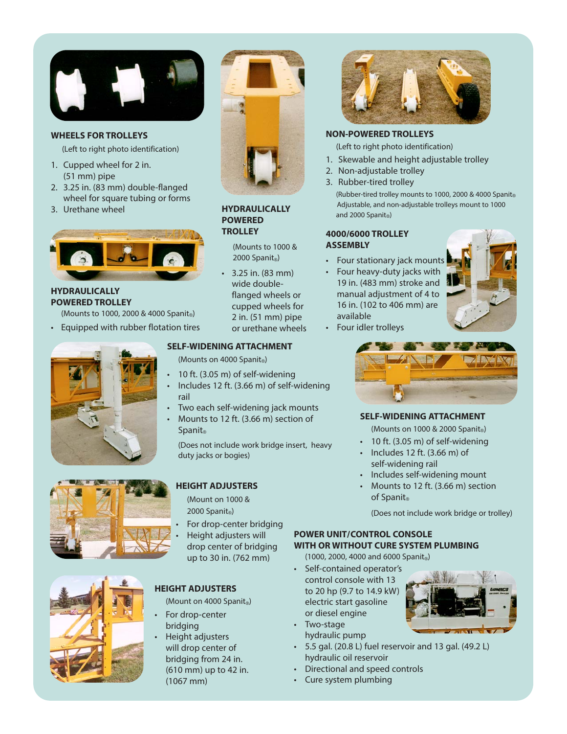

#### **WHEELS FOR TROLLEYS**

(Left to right photo identification)

- 1. Cupped wheel for 2 in. (51 mm) pipe
- 2. 3.25 in. (83 mm) double-flanged wheel for square tubing or forms
- 3. Urethane wheel



**HYDRAULICALLY POWERED TROLLEY**

(Mounts to 1000, 2000 & 4000 Spanit**®**)

• Equipped with rubber flotation tires









#### **HYDRAULICALLY POWERED TROLLEY**

(Mounts to 1000 & 2000 Spanit**®**)

• 3.25 in. (83 mm) wide doubleflanged wheels or cupped wheels for 2 in. (51 mm) pipe or urethane wheels

#### **SELF-WIDENING ATTACHMENT**

(Mounts on 4000 Spanit**®**)

- 10 ft. (3.05 m) of self-widening
- Includes 12 ft. (3.66 m) of self-widening rail
- Two each self-widening jack mounts
- Mounts to 12 ft. (3.66 m) section of Spanit**®**

(Does not include work bridge insert, heavy duty jacks or bogies)

#### **HEIGHT ADJUSTERS**

(Mount on 1000 & 2000 Spanit**®**)

For drop-center bridging • Height adjusters will drop center of bridging up to 30 in. (762 mm)

## **HEIGHT ADJUSTERS**

(Mount on 4000 Spanit**®**)

- For drop-center bridging
- Height adjusters will drop center of bridging from 24 in. (610 mm) up to 42 in. (1067 mm)



#### **NON-POWERED TROLLEYS**

(Left to right photo identification)

- 1. Skewable and height adjustable trolley
- 2. Non-adjustable trolley
- 3. Rubber-tired trolley

(Rubber-tired trolley mounts to 1000, 2000 & 4000 Spanit® Adjustable, and non-adjustable trolleys mount to 1000 and 2000 Spanit**®**)

#### **4000/6000 TROLLEY ASSEMBLY**

- Four stationary jack mounts
- Four heavy-duty jacks with 19 in. (483 mm) stroke and manual adjustment of 4 to 16 in. (102 to 406 mm) are available



• Four idler trolleys



#### **SELF-WIDENING ATTACHMENT**

(Mounts on 1000 & 2000 Spanit**®**)

- 10 ft. (3.05 m) of self-widening
- Includes 12 ft. (3.66 m) of self-widening rail
- Includes self-widening mount
- Mounts to 12 ft. (3.66 m) section of Spanit**®**

(Does not include work bridge or trolley)

## **POWER UNIT/CONTROL CONSOLE WITH OR WITHOUT CURE SYSTEM PLUMBING**

(1000, 2000, 4000 and 6000 Spanit**®**)

- Self-contained operator's control console with 13 to 20 hp (9.7 to 14.9 kW) electric start gasoline or diesel engine
- Two-stage hydraulic pump
- 5.5 gal. (20.8 L) fuel reservoir and 13 gal. (49.2 L) hydraulic oil reservoir
- Directional and speed controls
- Cure system plumbing

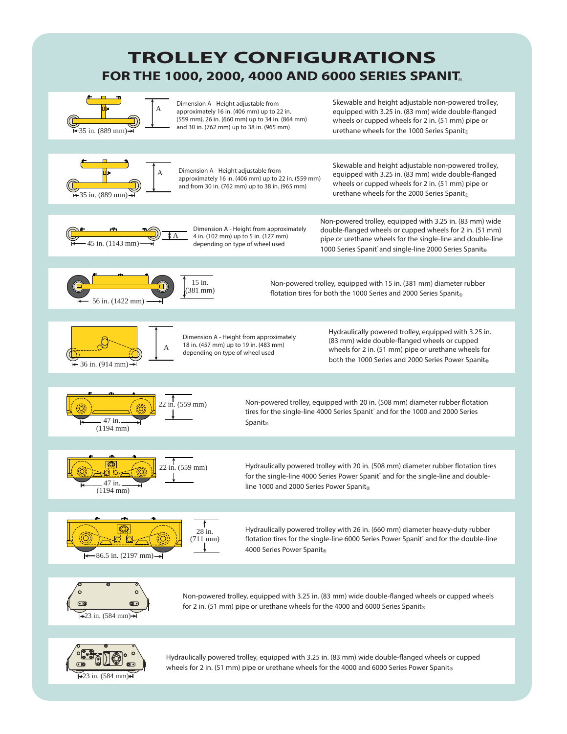